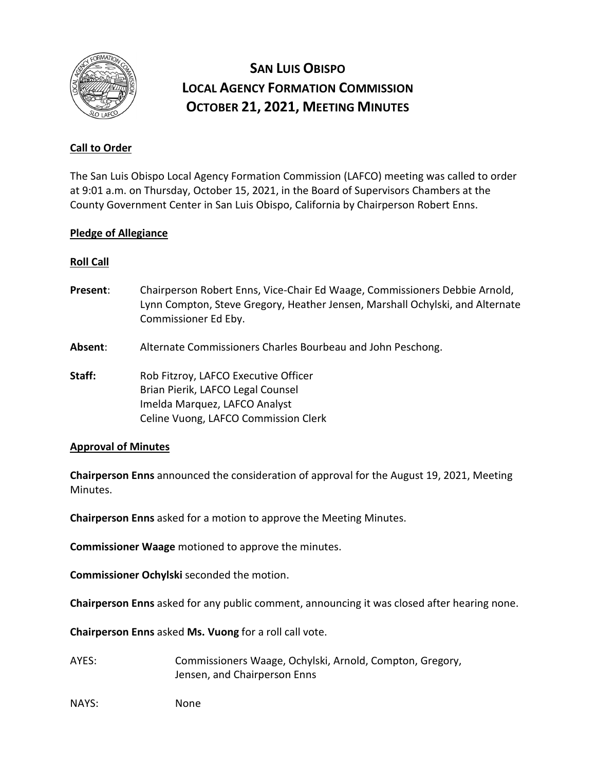

# **SAN LUIS OBISPO LOCAL AGENCY FORMATION COMMISSION OCTOBER 21, 2021, MEETING MINUTES**

# **Call to Order**

The San Luis Obispo Local Agency Formation Commission (LAFCO) meeting was called to order at 9:01 a.m. on Thursday, October 15, 2021, in the Board of Supervisors Chambers at the County Government Center in San Luis Obispo, California by Chairperson Robert Enns.

## **Pledge of Allegiance**

## **Roll Call**

- **Present**: Chairperson Robert Enns, Vice-Chair Ed Waage, Commissioners Debbie Arnold, Lynn Compton, Steve Gregory, Heather Jensen, Marshall Ochylski, and Alternate Commissioner Ed Eby.
- **Absent**: Alternate Commissioners Charles Bourbeau and John Peschong.

**Staff:** Rob Fitzroy, LAFCO Executive Officer Brian Pierik, LAFCO Legal Counsel Imelda Marquez, LAFCO Analyst Celine Vuong, LAFCO Commission Clerk

#### **Approval of Minutes**

**Chairperson Enns** announced the consideration of approval for the August 19, 2021, Meeting Minutes.

**Chairperson Enns** asked for a motion to approve the Meeting Minutes.

**Commissioner Waage** motioned to approve the minutes.

**Commissioner Ochylski** seconded the motion.

**Chairperson Enns** asked for any public comment, announcing it was closed after hearing none.

**Chairperson Enns** asked **Ms. Vuong** for a roll call vote.

- AYES: Commissioners Waage, Ochylski, Arnold, Compton, Gregory, Jensen, and Chairperson Enns
- NAYS: None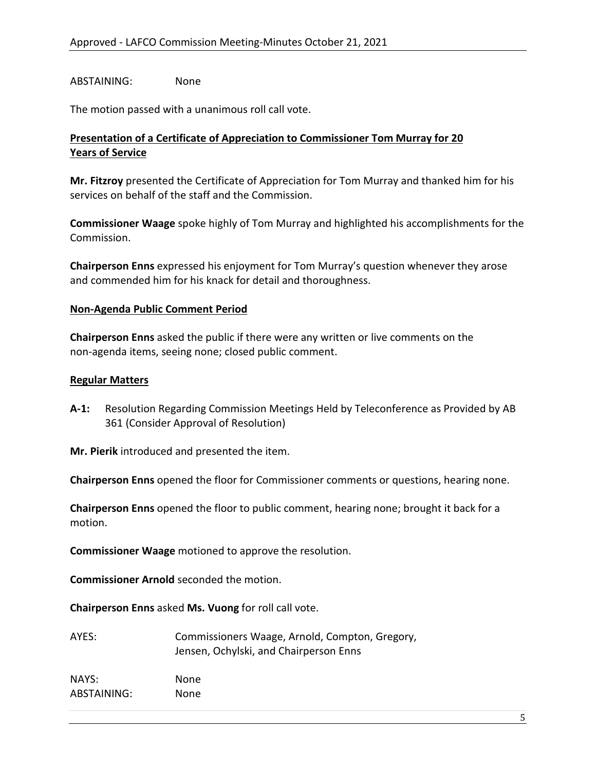## ABSTAINING: None

The motion passed with a unanimous roll call vote.

## **Presentation of a Certificate of Appreciation to Commissioner Tom Murray for 20 Years of Service**

**Mr. Fitzroy** presented the Certificate of Appreciation for Tom Murray and thanked him for his services on behalf of the staff and the Commission.

**Commissioner Waage** spoke highly of Tom Murray and highlighted his accomplishments for the Commission.

**Chairperson Enns** expressed his enjoyment for Tom Murray's question whenever they arose and commended him for his knack for detail and thoroughness.

#### **Non-Agenda Public Comment Period**

**Chairperson Enns** asked the public if there were any written or live comments on the non-agenda items, seeing none; closed public comment.

#### **Regular Matters**

**A-1:** Resolution Regarding Commission Meetings Held by Teleconference as Provided by AB 361 (Consider Approval of Resolution)

**Mr. Pierik** introduced and presented the item.

**Chairperson Enns** opened the floor for Commissioner comments or questions, hearing none.

**Chairperson Enns** opened the floor to public comment, hearing none; brought it back for a motion.

**Commissioner Waage** motioned to approve the resolution.

**Commissioner Arnold** seconded the motion.

**Chairperson Enns** asked **Ms. Vuong** for roll call vote.

| AYES:       | Commissioners Waage, Arnold, Compton, Gregory,<br>Jensen, Ochylski, and Chairperson Enns |
|-------------|------------------------------------------------------------------------------------------|
| NAYS:       | None.                                                                                    |
| ABSTAINING: | None                                                                                     |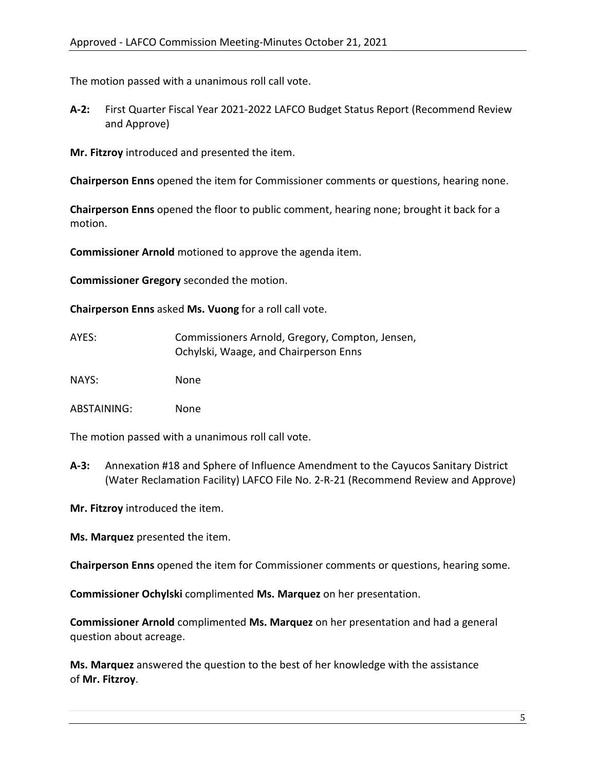The motion passed with a unanimous roll call vote.

**A-2:** First Quarter Fiscal Year 2021-2022 LAFCO Budget Status Report (Recommend Review and Approve)

**Mr. Fitzroy** introduced and presented the item.

**Chairperson Enns** opened the item for Commissioner comments or questions, hearing none.

**Chairperson Enns** opened the floor to public comment, hearing none; brought it back for a motion.

**Commissioner Arnold** motioned to approve the agenda item.

**Commissioner Gregory** seconded the motion.

**Chairperson Enns** asked **Ms. Vuong** for a roll call vote.

| AYES: | Commissioners Arnold, Gregory, Compton, Jensen, |
|-------|-------------------------------------------------|
|       | Ochylski, Waage, and Chairperson Enns           |

NAYS: None

ABSTAINING: None

The motion passed with a unanimous roll call vote.

**A-3:** Annexation #18 and Sphere of Influence Amendment to the Cayucos Sanitary District (Water Reclamation Facility) LAFCO File No. 2-R-21 (Recommend Review and Approve)

**Mr. Fitzroy** introduced the item.

**Ms. Marquez** presented the item.

**Chairperson Enns** opened the item for Commissioner comments or questions, hearing some.

**Commissioner Ochylski** complimented **Ms. Marquez** on her presentation.

**Commissioner Arnold** complimented **Ms. Marquez** on her presentation and had a general question about acreage.

**Ms. Marquez** answered the question to the best of her knowledge with the assistance of **Mr. Fitzroy**.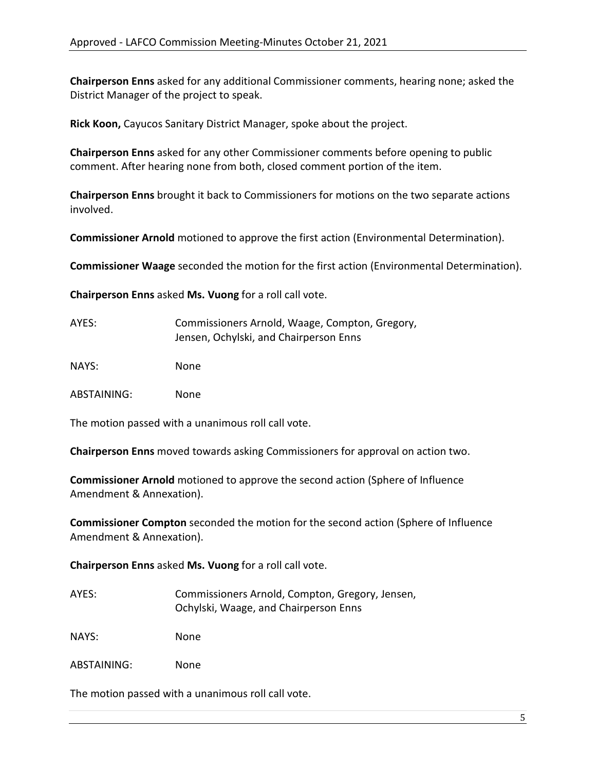**Chairperson Enns** asked for any additional Commissioner comments, hearing none; asked the District Manager of the project to speak.

**Rick Koon,** Cayucos Sanitary District Manager, spoke about the project.

**Chairperson Enns** asked for any other Commissioner comments before opening to public comment. After hearing none from both, closed comment portion of the item.

**Chairperson Enns** brought it back to Commissioners for motions on the two separate actions involved.

**Commissioner Arnold** motioned to approve the first action (Environmental Determination).

**Commissioner Waage** seconded the motion for the first action (Environmental Determination).

**Chairperson Enns** asked **Ms. Vuong** for a roll call vote.

| AYES: | Commissioners Arnold, Waage, Compton, Gregory, |
|-------|------------------------------------------------|
|       | Jensen, Ochylski, and Chairperson Enns         |
|       |                                                |

NAYS: None

ABSTAINING: None

The motion passed with a unanimous roll call vote.

**Chairperson Enns** moved towards asking Commissioners for approval on action two.

**Commissioner Arnold** motioned to approve the second action (Sphere of Influence Amendment & Annexation).

**Commissioner Compton** seconded the motion for the second action (Sphere of Influence Amendment & Annexation).

**Chairperson Enns** asked **Ms. Vuong** for a roll call vote.

AYES: Commissioners Arnold, Compton, Gregory, Jensen, Ochylski, Waage, and Chairperson Enns

NAYS: None

ABSTAINING: None

The motion passed with a unanimous roll call vote.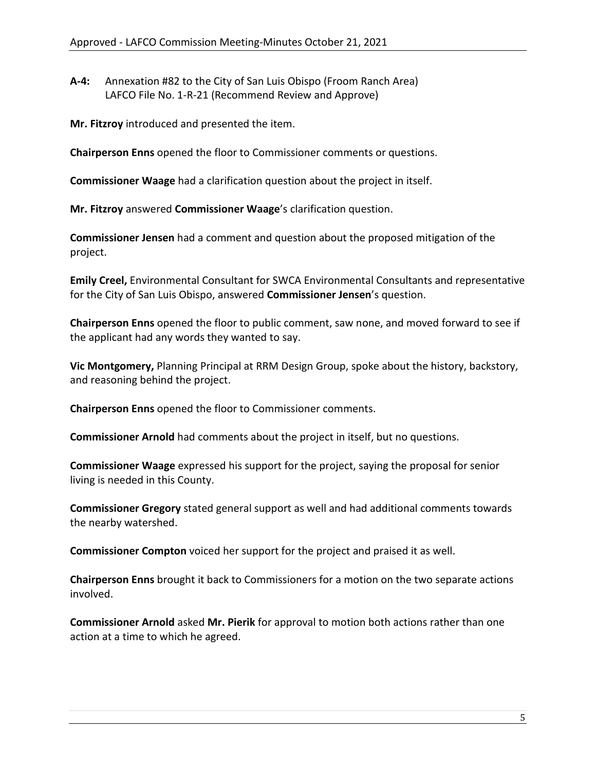**A-4:** Annexation #82 to the City of San Luis Obispo (Froom Ranch Area) LAFCO File No. 1-R-21 (Recommend Review and Approve)

**Mr. Fitzroy** introduced and presented the item.

**Chairperson Enns** opened the floor to Commissioner comments or questions.

**Commissioner Waage** had a clarification question about the project in itself.

**Mr. Fitzroy** answered **Commissioner Waage**'s clarification question.

**Commissioner Jensen** had a comment and question about the proposed mitigation of the project.

**Emily Creel,** Environmental Consultant for SWCA Environmental Consultants and representative for the City of San Luis Obispo, answered **Commissioner Jensen**'s question.

**Chairperson Enns** opened the floor to public comment, saw none, and moved forward to see if the applicant had any words they wanted to say.

**Vic Montgomery,** Planning Principal at RRM Design Group, spoke about the history, backstory, and reasoning behind the project.

**Chairperson Enns** opened the floor to Commissioner comments.

**Commissioner Arnold** had comments about the project in itself, but no questions.

**Commissioner Waage** expressed his support for the project, saying the proposal for senior living is needed in this County.

**Commissioner Gregory** stated general support as well and had additional comments towards the nearby watershed.

**Commissioner Compton** voiced her support for the project and praised it as well.

**Chairperson Enns** brought it back to Commissioners for a motion on the two separate actions involved.

**Commissioner Arnold** asked **Mr. Pierik** for approval to motion both actions rather than one action at a time to which he agreed.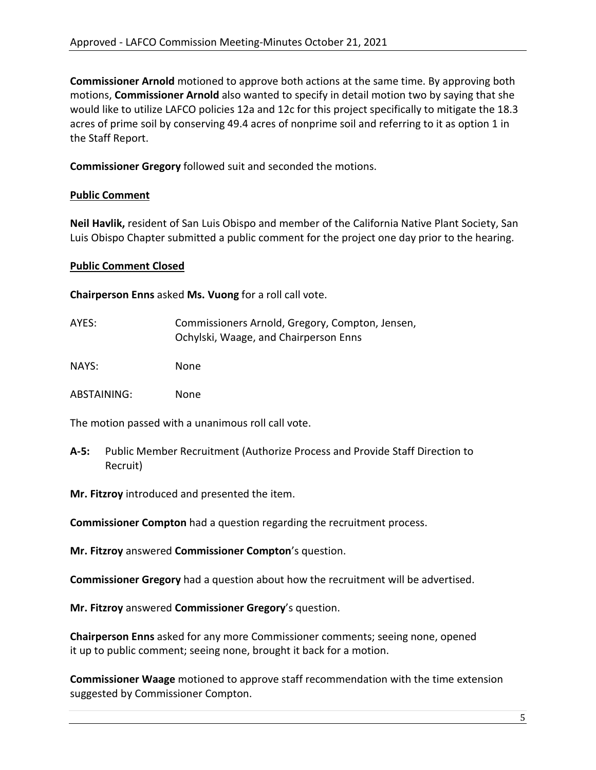**Commissioner Arnold** motioned to approve both actions at the same time. By approving both motions, **Commissioner Arnold** also wanted to specify in detail motion two by saying that she would like to utilize LAFCO policies 12a and 12c for this project specifically to mitigate the 18.3 acres of prime soil by conserving 49.4 acres of nonprime soil and referring to it as option 1 in the Staff Report.

**Commissioner Gregory** followed suit and seconded the motions.

# **Public Comment**

**Neil Havlik,** resident of San Luis Obispo and member of the California Native Plant Society, San Luis Obispo Chapter submitted a public comment for the project one day prior to the hearing.

# **Public Comment Closed**

**Chairperson Enns** asked **Ms. Vuong** for a roll call vote.

| AYES: | Commissioners Arnold, Gregory, Compton, Jensen,<br>Ochylski, Waage, and Chairperson Enns |
|-------|------------------------------------------------------------------------------------------|
| NAYS: | None.                                                                                    |

ABSTAINING: None

The motion passed with a unanimous roll call vote.

**A-5:** Public Member Recruitment (Authorize Process and Provide Staff Direction to Recruit)

**Mr. Fitzroy** introduced and presented the item.

**Commissioner Compton** had a question regarding the recruitment process.

**Mr. Fitzroy** answered **Commissioner Compton**'s question.

**Commissioner Gregory** had a question about how the recruitment will be advertised.

**Mr. Fitzroy** answered **Commissioner Gregory**'s question.

**Chairperson Enns** asked for any more Commissioner comments; seeing none, opened it up to public comment; seeing none, brought it back for a motion.

**Commissioner Waage** motioned to approve staff recommendation with the time extension suggested by Commissioner Compton.